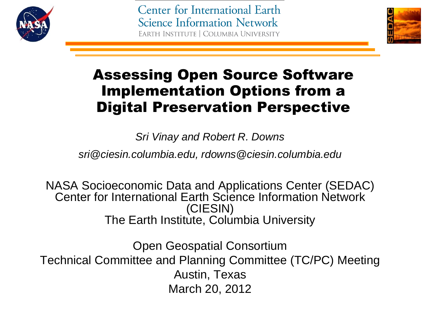

Center for International Earth **Science Information Network** EARTH INSTITUTE | COLUMBIA UNIVERSITY



## Assessing Open Source Software Implementation Options from a Digital Preservation Perspective

*Sri Vinay and Robert R. Downs* 

*sri@ciesin.columbia.edu, rdowns@ciesin.columbia.edu*

NASA Socioeconomic Data and Applications Center (SEDAC) Center for International Earth Science Information Network (CIESIN) The Earth Institute, Columbia University

Open Geospatial Consortium Technical Committee and Planning Committee (TC/PC) Meeting Austin, Texas March 20, 2012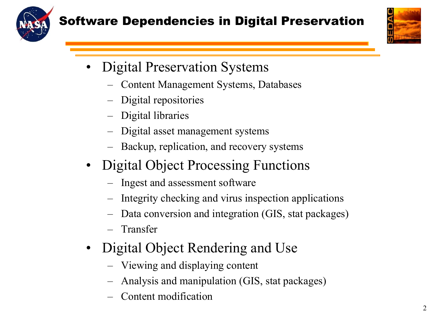



- Digital Preservation Systems
	- Content Management Systems, Databases
	- Digital repositories
	- Digital libraries
	- Digital asset management systems
	- Backup, replication, and recovery systems
- Digital Object Processing Functions
	- Ingest and assessment software
	- Integrity checking and virus inspection applications
	- Data conversion and integration (GIS, stat packages)
	- Transfer
- Digital Object Rendering and Use
	- Viewing and displaying content
	- Analysis and manipulation (GIS, stat packages)
	- Content modification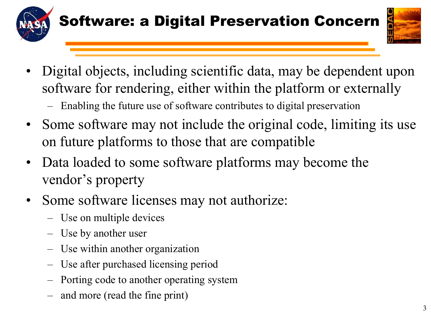



- Digital objects, including scientific data, may be dependent upon software for rendering, either within the platform or externally
	- Enabling the future use of software contributes to digital preservation
- Some software may not include the original code, limiting its use on future platforms to those that are compatible
- Data loaded to some software platforms may become the vendor's property
- Some software licenses may not authorize:
	- Use on multiple devices
	- Use by another user
	- Use within another organization
	- Use after purchased licensing period
	- Porting code to another operating system
	- and more (read the fine print)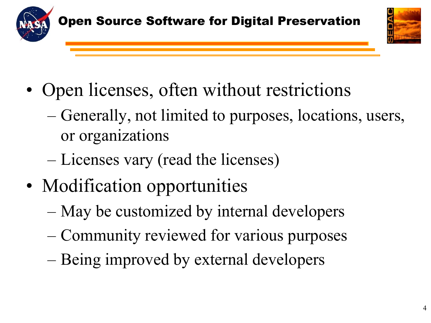



- Open licenses, often without restrictions
	- Generally, not limited to purposes, locations, users, or organizations
	- Licenses vary (read the licenses)
- Modification opportunities
	- May be customized by internal developers
	- Community reviewed for various purposes
	- Being improved by external developers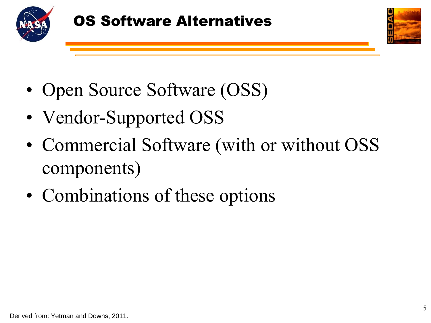



- Open Source Software (OSS)
- Vendor-Supported OSS
- Commercial Software (with or without OSS components)
- Combinations of these options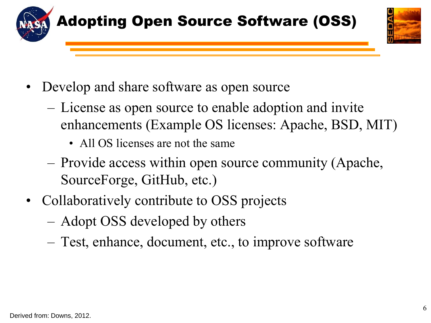



- Develop and share software as open source
	- License as open source to enable adoption and invite enhancements (Example OS licenses: Apache, BSD, MIT)
		- All OS licenses are not the same
	- Provide access within open source community (Apache, SourceForge, GitHub, etc.)
- Collaboratively contribute to OSS projects
	- Adopt OSS developed by others
	- Test, enhance, document, etc., to improve software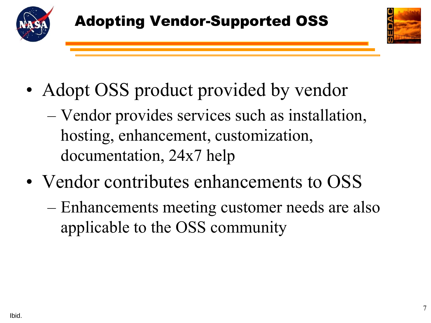



- Adopt OSS product provided by vendor
	- Vendor provides services such as installation, hosting, enhancement, customization, documentation, 24x7 help
- Vendor contributes enhancements to OSS
	- Enhancements meeting customer needs are also applicable to the OSS community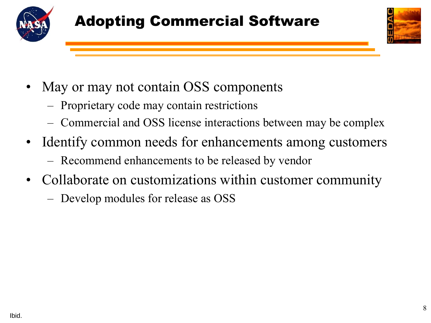



- May or may not contain OSS components
	- Proprietary code may contain restrictions
	- Commercial and OSS license interactions between may be complex
- Identify common needs for enhancements among customers
	- Recommend enhancements to be released by vendor
- Collaborate on customizations within customer community
	- Develop modules for release as OSS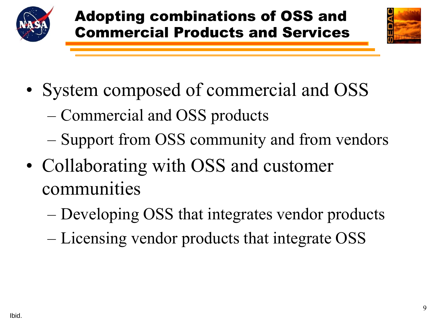



- System composed of commercial and OSS
	- Commercial and OSS products
	- Support from OSS community and from vendors
- Collaborating with OSS and customer communities
	- Developing OSS that integrates vendor products
	- Licensing vendor products that integrate OSS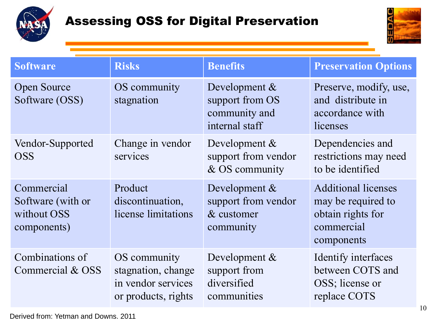



| <b>Software</b>                                               | <b>Risks</b>                                                                    | <b>Benefits</b>                                                        | <b>Preservation Options</b>                                                                       |
|---------------------------------------------------------------|---------------------------------------------------------------------------------|------------------------------------------------------------------------|---------------------------------------------------------------------------------------------------|
| <b>Open Source</b><br>Software (OSS)                          | OS community<br>stagnation                                                      | Development $\&$<br>support from OS<br>community and<br>internal staff | Preserve, modify, use,<br>and distribute in<br>accordance with<br>licenses                        |
| Vendor-Supported<br><b>OSS</b>                                | Change in vendor<br>services                                                    | Development $\&$<br>support from vendor<br>& OS community              | Dependencies and<br>restrictions may need<br>to be identified                                     |
| Commercial<br>Software (with or<br>without OSS<br>components) | Product<br>discontinuation,<br>license limitations                              | Development $\&$<br>support from vendor<br>& customer<br>community     | <b>Additional licenses</b><br>may be required to<br>obtain rights for<br>commercial<br>components |
| Combinations of<br>Commercial & OSS                           | OS community<br>stagnation, change<br>in vendor services<br>or products, rights | Development $\&$<br>support from<br>diversified<br>communities         | Identify interfaces<br>between COTS and<br>OSS; license or<br>replace COTS                        |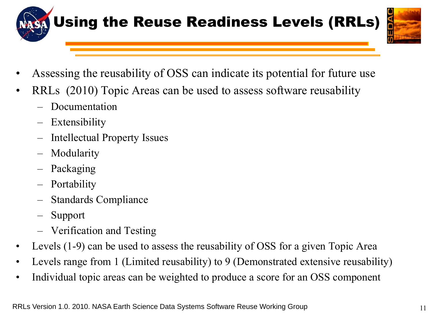



- Assessing the reusability of OSS can indicate its potential for future use
- RRLs (2010) Topic Areas can be used to assess software reusability
	- Documentation
	- Extensibility
	- Intellectual Property Issues
	- Modularity
	- Packaging
	- Portability
	- Standards Compliance
	- Support
	- Verification and Testing
- Levels (1-9) can be used to assess the reusability of OSS for a given Topic Area
- Levels range from 1 (Limited reusability) to 9 (Demonstrated extensive reusability)
- Individual topic areas can be weighted to produce a score for an OSS component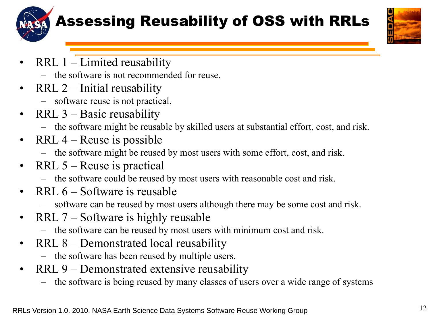

## Assessing Reusability of OSS with RRLs



- RRL  $1$  Limited reusability
	- the software is not recommended for reuse.
- RRL 2 Initial reusability
	- software reuse is not practical.
- RRL 3 Basic reusability
	- the software might be reusable by skilled users at substantial effort, cost, and risk.
- RRL  $4$  Reuse is possible
	- the software might be reused by most users with some effort, cost, and risk.
- RRL  $5$  Reuse is practical
	- the software could be reused by most users with reasonable cost and risk.
- RRL  $6 -$ Software is reusable
	- software can be reused by most users although there may be some cost and risk.
- RRL 7 Software is highly reusable
	- the software can be reused by most users with minimum cost and risk.
- RRL 8 Demonstrated local reusability
	- the software has been reused by multiple users.
- RRL 9 Demonstrated extensive reusability
	- the software is being reused by many classes of users over a wide range of systems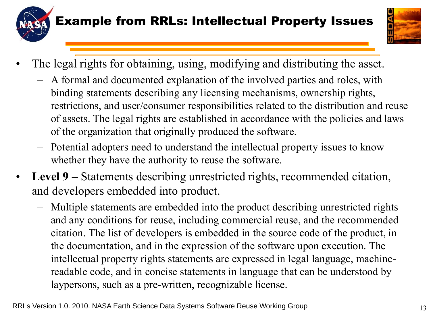



- The legal rights for obtaining, using, modifying and distributing the asset.
	- A formal and documented explanation of the involved parties and roles, with binding statements describing any licensing mechanisms, ownership rights, restrictions, and user/consumer responsibilities related to the distribution and reuse of assets. The legal rights are established in accordance with the policies and laws of the organization that originally produced the software.
	- Potential adopters need to understand the intellectual property issues to know whether they have the authority to reuse the software.
- **Level 9 –** Statements describing unrestricted rights, recommended citation, and developers embedded into product.
	- Multiple statements are embedded into the product describing unrestricted rights and any conditions for reuse, including commercial reuse, and the recommended citation. The list of developers is embedded in the source code of the product, in the documentation, and in the expression of the software upon execution. The intellectual property rights statements are expressed in legal language, machinereadable code, and in concise statements in language that can be understood by laypersons, such as a pre-written, recognizable license.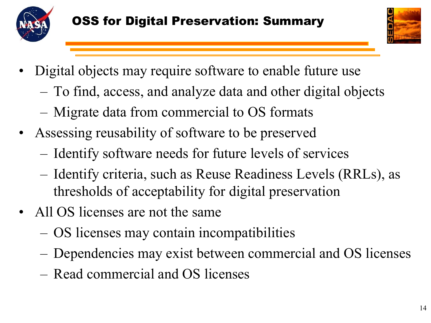



- Digital objects may require software to enable future use
	- To find, access, and analyze data and other digital objects
	- Migrate data from commercial to OS formats
- Assessing reusability of software to be preserved
	- Identify software needs for future levels of services
	- Identify criteria, such as Reuse Readiness Levels (RRLs), as thresholds of acceptability for digital preservation
- All OS licenses are not the same
	- OS licenses may contain incompatibilities
	- Dependencies may exist between commercial and OS licenses
	- Read commercial and OS licenses